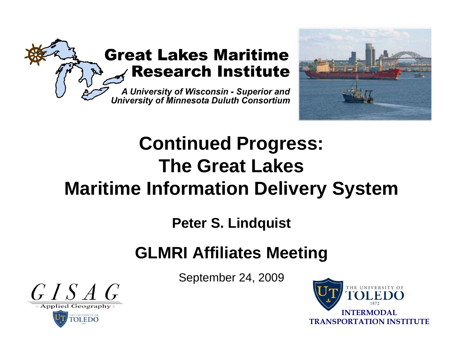



# **Continued Progress: The Great Lakes Maritime Information Delivery System**

**Peter S. Lindquist**

# **GLMRI Affiliates Meeting**

September 24, 2009



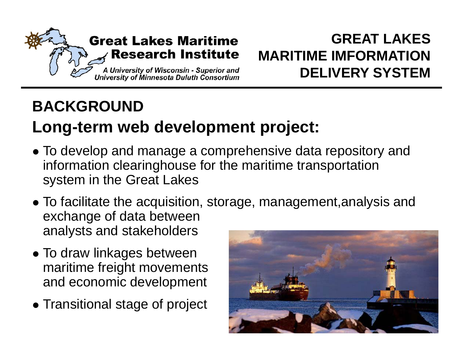

# **BACKGROUND**

# **Long-term web development project:**

- $\bullet$  To develop and manage a comprehensive data repository and information clearinghouse for the maritime transportation system in the Great Lakes
- $\bullet$  To facilitate the acquisition, storage, management,analysis and exchange of data between analysts and stakeholders
- $\bullet$  To draw linkages between maritime freight movements and economic development
- Transitional stage of project

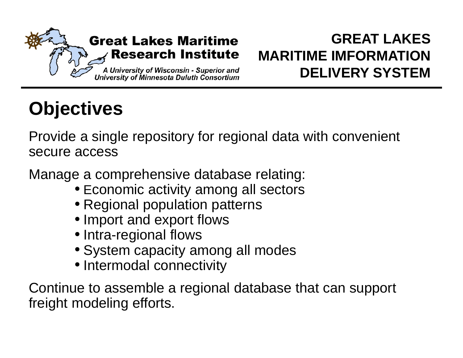

# **Objectives**

Provide a single repository for regional data with convenient secure access

Manage a comprehensive database relating:

- Economic activity among all sectors
- Regional population patterns
- Import and export flows
- Intra-regional flows
- System capacity among all modes
- Intermodal connectivity

Continue to assemble a regional database that can support freight modeling efforts.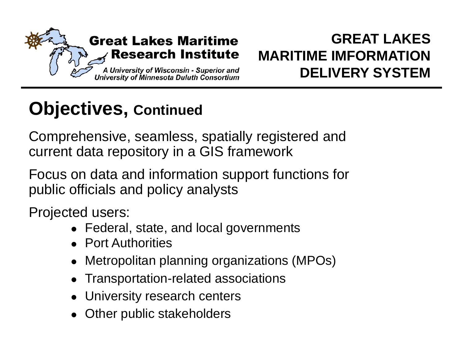

# **Objectives, Continued**

Comprehensive, seamless, spatially registered and current data repository in <sup>a</sup> GIS framework

Focus on data and information support functions for public officials and policy analysts

Projected users:

- Federal, state, and local governments
- Port Authorities
- Metropolitan planning organizations (MPOs)
- Transportation-related associations
- University research centers
- Other public stakeholders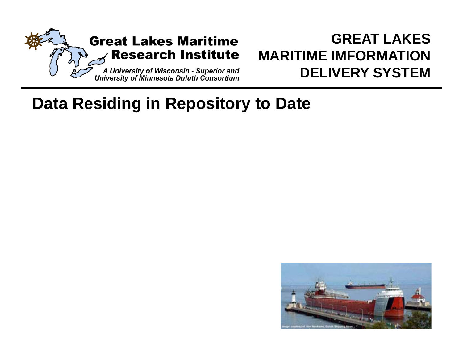

# **Data Residing in Repository to Date**

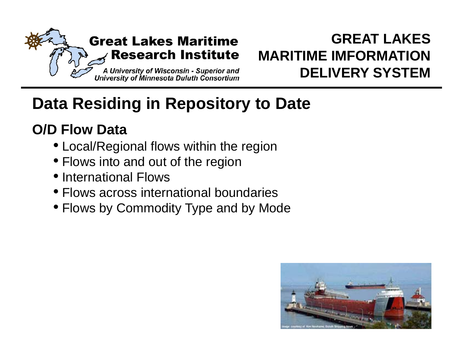

# **Data Residing in Repository to Date**

# **O/D Flow Data**

- Local/Regional flows within the region
- $\bullet$  Flows into and out of the region
- International Flows
- Flows across international boundaries
- Flows by Commodity Type and by Mode

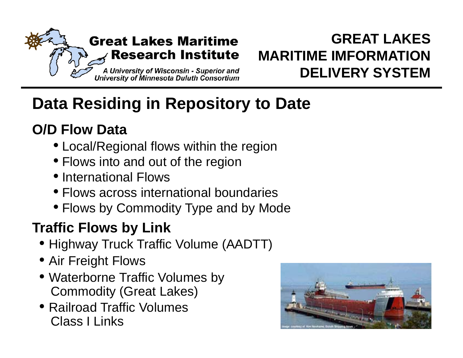

# **Data Residing in Repository to Date**

# **O/D Flow Data**

- Local/Regional flows within the region
- $\bullet$  Flows into and out of the region
- International Flows
- Flows across international boundaries
- Flows by Commodity Type and by Mode

# **Traffic Flows by Link**

- $\bullet$  Highway Truck Traffic Volume (AADTT)
- $\bullet$  Air Freight Flows
- Waterborne Traffic Volumes by Commodity (Great Lakes)
- Railroad Traffic Volumes Class I Links

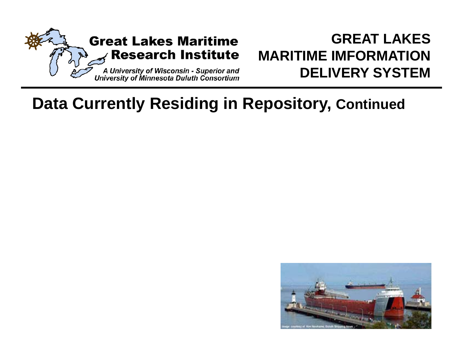

# **Data Currently Residing in Repository, Continued**

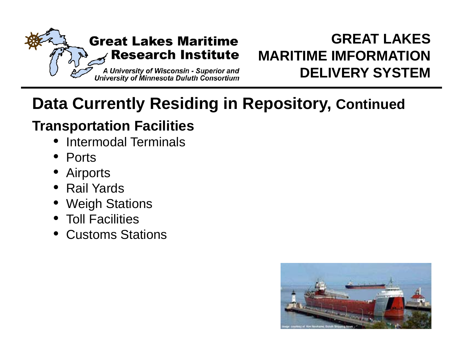

# **Data Currently Residing in Repository, Continued**

### **Transportation Facilities**

- Intermodal Terminals
- Ports
- O Airports
- Rail Yards
- Weigh Stations
- Toll Facilities
- Customs Stations

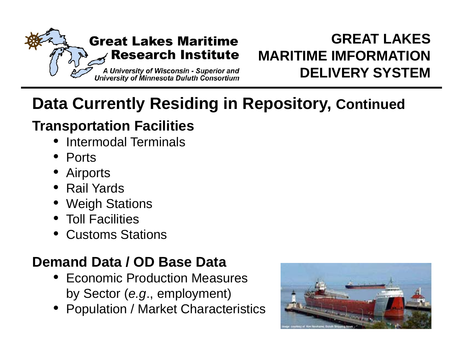

# **Data Currently Residing in Repository, Continued**

# **Transportation Facilities**

- Intermodal Terminals
- Ports
- O Airports
- Rail Yards
- Weigh Stations
- Toll Facilities
- Customs Stations

# **Demand Data / OD Base Data**

- Economic Production Measures by Sector (*e.g.*, employment)
- Population / Market Characteristics

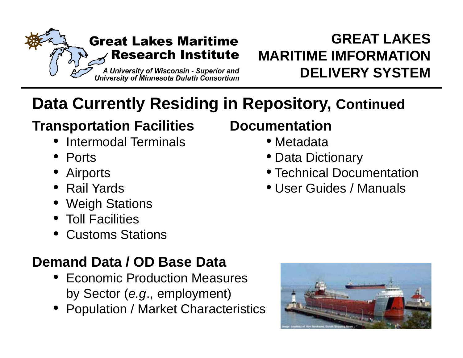

# **Data Currently Residing in Repository, Continued**

### **Transportation Facilities Documentation**

- Intermodal Terminals
- Ports
- O
- Rail Yards
- Weigh Stations
- Toll Facilities
- Customs Stations

# **Demand Data / OD Base Data**

- Economic Production Measures by Sector (*e.g.*, employment)
- Population / Market Characteristics

# • Metadata

- Data Dictionary
- Airports **z Andrew Struck Contract Contract** Post Contract Pocumentation
	- User Guides / Manuals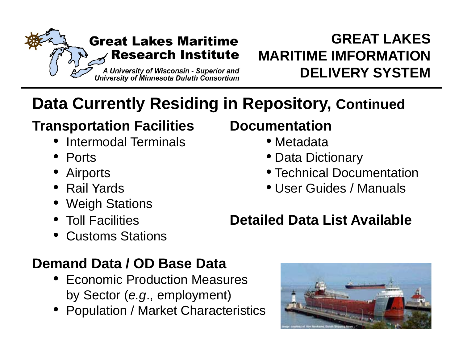

# **Data Currently Residing in Repository, Continued**

### **Transportation Facilities Documentation**

- Intermodal Terminals
- Ports
- O
- Rail Yards
- Weigh Stations
- Toll Facilities
- Customs Stations

- Metadata
- Data Dictionary
- Airports **z Andrew Struck Contract Contract** Post Contract Pocumentation
	- User Guides / Manuals

# **Detailed Data List Available**

# **Demand Data / OD Base Data**

- Economic Production Measures by Sector *(e.g., employment)*
- Population / Market Characteristics

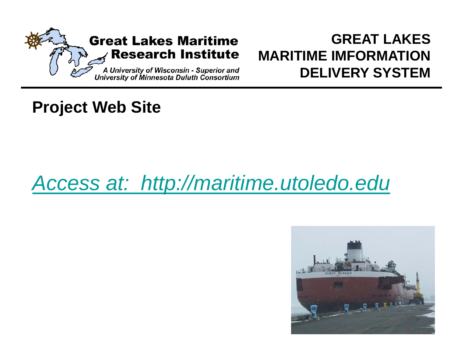

# **Project Web Site**

# *Access at: http://maritime.utoledo.edu*

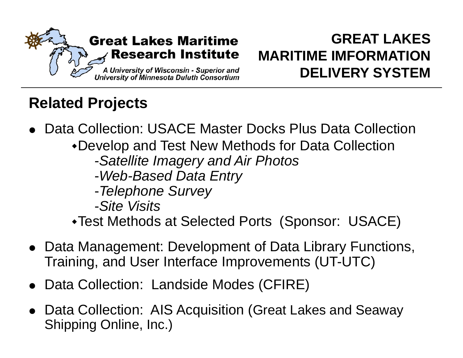

# **Related Projects**

- $\bullet$  Data Collection: USACE Master Docks Plus Data Collection
	- Develop and Test New Methods for Data Collection
		- -*S t llit I d Ai Ph t Satellite Imagery and Air Photos*
		- -*Web-Based Data Entry*
		- -*Telephone Survey*
		- -*Sit Vi it Site Visits*
	- Test Methods at Selected Ports (Sponsor: USACE)
- Data Management: Development of Data Library Functions, Training, and User Interface Improvements (UT-UTC)
- Data Collection: Landside Modes (CFIRE)
- Data Collection: AIS Acquisition (Great Lakes and Seaway Shipping Online, Inc.)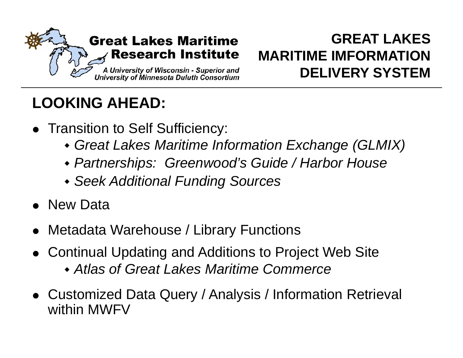

# **LOOKING AHEAD:**

- Transition to Self Sufficiency:
	- *Great Lakes Maritime Information Exchange (GLMIX)*
	- *Partnerships: Greenwood's Guide / Harbor House*
	- *Seek Additional Funding Sources*
- New Data
- Metadata Warehouse / Library Functions
- Continual Updating and Additions to Project Web Site
	- *Atlas of Great Lakes Maritime Commerce*
- Customized Data Query / Analysis / Information Retrieval within MWFV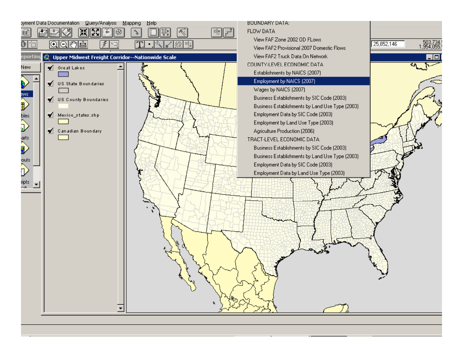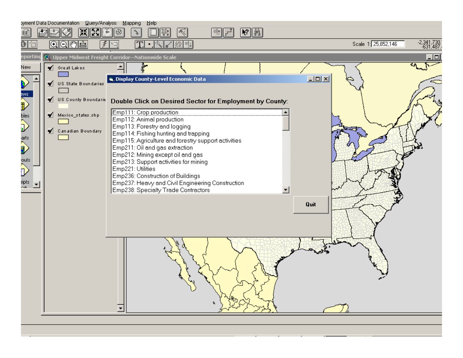| byment Data Documentation Query/Analysis Mapping<br>Help            |                             |                                                                                       |                                                     |  |  |  |  |  |  |
|---------------------------------------------------------------------|-----------------------------|---------------------------------------------------------------------------------------|-----------------------------------------------------|--|--|--|--|--|--|
| 黑<br>23<br>$ \mathcal{N} $ in<br> ॐ<br>E<br>↘                       |                             |                                                                                       |                                                     |  |  |  |  |  |  |
| t                                                                   | [0]이(~)[스]                  | T<br>$\bullet$ $\overline{\mathbb{R}}$<br><b>烈性</b>                                   | $-2,341,730,$<br>$-631,487.$<br>Scale 1: 25,852,146 |  |  |  |  |  |  |
| C Upper Midwest Freight Corridor--Nationwide Scale<br>eporting<br>п |                             |                                                                                       |                                                     |  |  |  |  |  |  |
| New                                                                 | $\blacklozenge$ Great Lakes | 事                                                                                     |                                                     |  |  |  |  |  |  |
|                                                                     | US State Boundaries         | <b>S. Display County-Level Economic Data</b>                                          | $-10 \times$                                        |  |  |  |  |  |  |
|                                                                     |                             |                                                                                       |                                                     |  |  |  |  |  |  |
| Đ                                                                   | US County Boundarie         | Double Click on Desired Sector for Employment by County:                              |                                                     |  |  |  |  |  |  |
| bles<br>D                                                           | Mexico_states.shp           | Emp111: Crop production                                                               |                                                     |  |  |  |  |  |  |
|                                                                     |                             | Emp112: Animal production                                                             |                                                     |  |  |  |  |  |  |
|                                                                     | Canadian Boundary           | Emp113: Forestry and logging<br>Emp114: Fishing hunting and trapping                  |                                                     |  |  |  |  |  |  |
| iarts                                                               |                             | Emp115: Agriculture and forestry support activities                                   |                                                     |  |  |  |  |  |  |
| Î                                                                   |                             | Emp211: Oil and gas extraction                                                        |                                                     |  |  |  |  |  |  |
|                                                                     |                             | Emp212: Mining except oil and gas                                                     |                                                     |  |  |  |  |  |  |
| outs                                                                |                             | Emp213: Support activities for mining                                                 |                                                     |  |  |  |  |  |  |
| J                                                                   |                             | Emp221: Utilities                                                                     |                                                     |  |  |  |  |  |  |
| ripts                                                               |                             | Emp236: Construction of Buildings<br>Emp237: Heavy and Civil Engineering Construction |                                                     |  |  |  |  |  |  |
|                                                                     |                             | Emp238: Specialty Trade Contractors<br>$\blacktriangledown$                           |                                                     |  |  |  |  |  |  |
|                                                                     |                             |                                                                                       |                                                     |  |  |  |  |  |  |
|                                                                     |                             |                                                                                       | Quit                                                |  |  |  |  |  |  |
|                                                                     |                             |                                                                                       |                                                     |  |  |  |  |  |  |
|                                                                     |                             |                                                                                       |                                                     |  |  |  |  |  |  |
|                                                                     |                             |                                                                                       |                                                     |  |  |  |  |  |  |
|                                                                     |                             |                                                                                       |                                                     |  |  |  |  |  |  |
|                                                                     |                             |                                                                                       |                                                     |  |  |  |  |  |  |
|                                                                     |                             |                                                                                       |                                                     |  |  |  |  |  |  |
|                                                                     |                             |                                                                                       |                                                     |  |  |  |  |  |  |
|                                                                     |                             |                                                                                       |                                                     |  |  |  |  |  |  |
|                                                                     |                             |                                                                                       |                                                     |  |  |  |  |  |  |
|                                                                     |                             |                                                                                       |                                                     |  |  |  |  |  |  |
|                                                                     |                             |                                                                                       |                                                     |  |  |  |  |  |  |
|                                                                     |                             |                                                                                       |                                                     |  |  |  |  |  |  |
|                                                                     |                             |                                                                                       |                                                     |  |  |  |  |  |  |
|                                                                     |                             |                                                                                       |                                                     |  |  |  |  |  |  |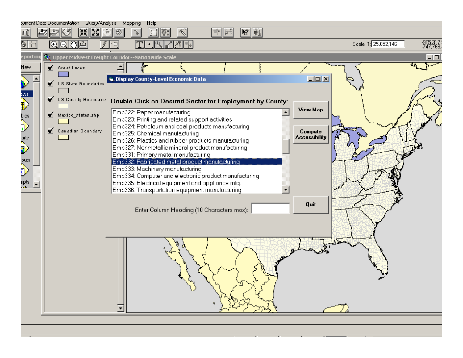| ▶?∥▒<br>◈<br>K.                                                                                                      |                          |  |  |  |  |  |  |  |  |
|----------------------------------------------------------------------------------------------------------------------|--------------------------|--|--|--|--|--|--|--|--|
|                                                                                                                      |                          |  |  |  |  |  |  |  |  |
| Scale 1: 25,852,146<br> ⊙  ⊝  ල  ∰  ≙ <br>0<br>$\bullet$ $\mathbb{R}$<br>્<br>豲                                      | -905, 317.<br>-747, 768. |  |  |  |  |  |  |  |  |
| eporting<br>Upper Midwest Freight Corridor--Nationwide Scale                                                         | $\Box$                   |  |  |  |  |  |  |  |  |
| ♦ Great Lakes<br>New                                                                                                 |                          |  |  |  |  |  |  |  |  |
| <u>니미지</u><br><b>S. Display County-Level Economic Data</b><br>V US State Boundaries                                  |                          |  |  |  |  |  |  |  |  |
|                                                                                                                      |                          |  |  |  |  |  |  |  |  |
| $\mathbf{F}$<br>US County Boundarie<br>Double Click on Desired Sector for Employment by County:                      |                          |  |  |  |  |  |  |  |  |
| <b>View Map</b><br>Emp322: Paper manufacturing<br>Mexico_states.shp                                                  |                          |  |  |  |  |  |  |  |  |
| bles<br>D<br>Emp323: Printing and related support activities<br>Emp324: Petroleum and coal products manufacturing    |                          |  |  |  |  |  |  |  |  |
| Canadian Boundary<br>Compute<br>Emp325: Chemical manufacturing<br><b>Accessibility</b>                               |                          |  |  |  |  |  |  |  |  |
| arts<br>D<br>Emp326: Plastics and rubber products manufacturing<br>Emp327: Nonmetallic mineral product manufacturing |                          |  |  |  |  |  |  |  |  |
| Emp331: Primary metal manufacturing<br>Emp332: Fabricated metal product manufacturing                                |                          |  |  |  |  |  |  |  |  |
| <sub>outs</sub><br>D<br>Emp333: Machinery manufacturing                                                              |                          |  |  |  |  |  |  |  |  |
| Emp334: Computer and electronic product manufacturing<br>Emp335: Electrical equipment and appliance mfg.<br>ripts    |                          |  |  |  |  |  |  |  |  |
| Emp336: Transportation equipment manufacturing                                                                       |                          |  |  |  |  |  |  |  |  |
| Quit                                                                                                                 |                          |  |  |  |  |  |  |  |  |
| Enter Column Heading (10 Characters max):                                                                            |                          |  |  |  |  |  |  |  |  |
|                                                                                                                      |                          |  |  |  |  |  |  |  |  |
|                                                                                                                      |                          |  |  |  |  |  |  |  |  |
|                                                                                                                      |                          |  |  |  |  |  |  |  |  |
|                                                                                                                      |                          |  |  |  |  |  |  |  |  |
|                                                                                                                      |                          |  |  |  |  |  |  |  |  |
|                                                                                                                      |                          |  |  |  |  |  |  |  |  |
|                                                                                                                      |                          |  |  |  |  |  |  |  |  |
|                                                                                                                      |                          |  |  |  |  |  |  |  |  |
|                                                                                                                      |                          |  |  |  |  |  |  |  |  |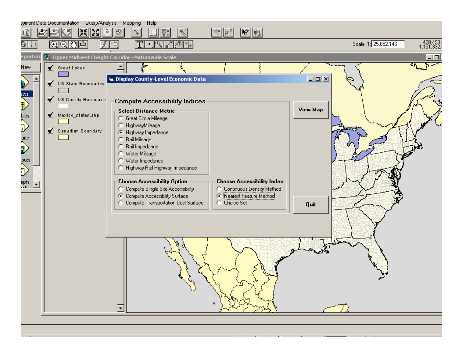| ▓                                                                                                                                                                                                        | byment Data Documentation Query/Analysis Mapping<br>ļЖ | Help<br>◈<br>₩<br>V.                                                      | $\left\  \mathbf{R}^2 \right\ $ .<br>≋ः∥                          |                                                 |
|----------------------------------------------------------------------------------------------------------------------------------------------------------------------------------------------------------|--------------------------------------------------------|---------------------------------------------------------------------------|-------------------------------------------------------------------|-------------------------------------------------|
| 0                                                                                                                                                                                                        | $\circ$ 이제소                                            | $\bullet$ $\mathbb{R}$<br>须 <sup>(4)</sup>                                |                                                                   | : 428,493<br>ا.1,151,332<br>Scale 1: 25,852,146 |
| eporting                                                                                                                                                                                                 |                                                        | Upper Midwest Freight Corridor--Nationwide Scale                          |                                                                   | 10 I                                            |
| New                                                                                                                                                                                                      | $\blacklozenge$ Great Lakes                            | ł                                                                         |                                                                   |                                                 |
|                                                                                                                                                                                                          |                                                        | <sup>1</sup> Display County-Level Economic Data                           |                                                                   | $-10 \times$                                    |
|                                                                                                                                                                                                          | √ US State Boundaries                                  |                                                                           |                                                                   |                                                 |
| ws<br>D                                                                                                                                                                                                  | US County Boundarie                                    | <b>Compute Accessibility Indices</b>                                      |                                                                   |                                                 |
|                                                                                                                                                                                                          | Mexico_states.shp                                      | <b>Select Distance Metric</b><br><b>C</b> Great Circle Mileage            |                                                                   | View Map                                        |
| bles<br>D                                                                                                                                                                                                |                                                        | C HighwayMileage                                                          |                                                                   |                                                 |
|                                                                                                                                                                                                          | Canadian Boundary                                      | ← Highway Impedance<br>C Rail Mileage                                     |                                                                   |                                                 |
| arts<br>D                                                                                                                                                                                                |                                                        | Rail Impedance<br>С<br>C Water Mileage                                    |                                                                   |                                                 |
| outs<br>A                                                                                                                                                                                                |                                                        | C Water Impedance                                                         |                                                                   |                                                 |
| D                                                                                                                                                                                                        |                                                        | C Highway-Rail-Highway Impedance                                          |                                                                   |                                                 |
| ripts<br><a< td=""><td></td><td><b>Choose Accessibility Option</b><br/>C Compute Single Site Accessibility</td><td><b>Choose Accessibility Index-</b><br/>C Continuous Density Method</td><td></td></a<> |                                                        | <b>Choose Accessibility Option</b><br>C Compute Single Site Accessibility | <b>Choose Accessibility Index-</b><br>C Continuous Density Method |                                                 |
|                                                                                                                                                                                                          |                                                        | C Compute Accessibility Surface                                           | Rearest Feature Method                                            |                                                 |
|                                                                                                                                                                                                          |                                                        | C Compute Transportation Cost Surface                                     | C Choice Set                                                      | Quit                                            |
|                                                                                                                                                                                                          |                                                        |                                                                           |                                                                   |                                                 |
|                                                                                                                                                                                                          |                                                        |                                                                           |                                                                   |                                                 |
|                                                                                                                                                                                                          |                                                        |                                                                           |                                                                   |                                                 |
|                                                                                                                                                                                                          |                                                        |                                                                           |                                                                   |                                                 |
|                                                                                                                                                                                                          |                                                        |                                                                           |                                                                   |                                                 |
|                                                                                                                                                                                                          |                                                        |                                                                           |                                                                   |                                                 |
|                                                                                                                                                                                                          |                                                        |                                                                           |                                                                   |                                                 |
|                                                                                                                                                                                                          |                                                        |                                                                           |                                                                   |                                                 |
|                                                                                                                                                                                                          |                                                        |                                                                           |                                                                   |                                                 |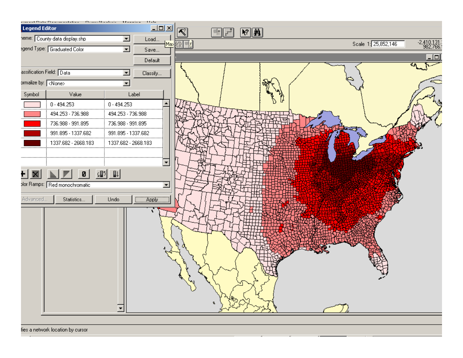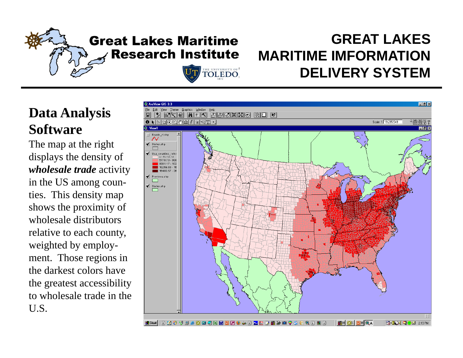# **Great Lakes Maritime Research Institute**

**ILE UNIVERSITY OF** 

### **GREAT LAKESMARITIME IMFORMATIONDELIVERY SYSTEM**

### **Data Analysis Software**

The map at the right displays the density of *wholesale trade* activity in the US among counties. This density map shows the proximity of wholesale distributors relative to each county, weighted by employment. Those regions in the darkest colors have the greatest accessibility to wholesale trade in the U.S.

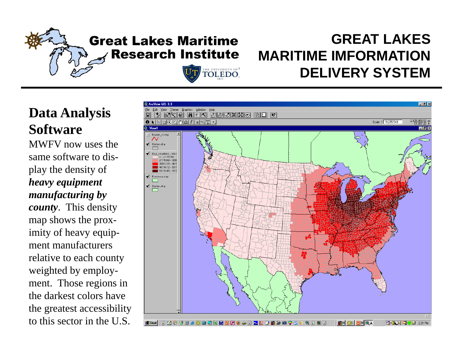# **Great Lakes Maritime Research Institute**

HE UNIVERSITY OF

### **GREAT LAKESMARITIME IMFORMATIONDELIVERY SYSTEM**

### **Data Analysis Software**

MWFV now uses the same software to display the density of *heavy equipment manufacturing by county*. This density map shows the proximity of heavy equipment manufacturersrelative to each county weighted by employment. Those regions in the darkest colors have the greatest accessibility to this sector in the U.S.

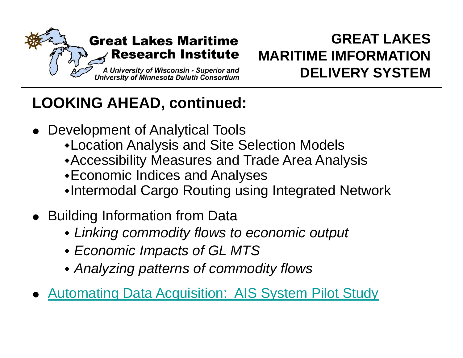

# **LOOKING AHEAD, continued:**

- Development of Analytical Tools
	- Location Analysis and Site Selection Models
	- Accessibility Measures and Trade Area Analysis
	- Economic Indices and Analyses
	- •Intermodal Cargo Routing using Integrated Network
- **Building Information from Data** 
	- *Linking commodity flows to economic output*
	- *E i I t f GL MTS Economic Impacts of*
	- *Analyzing patterns of commodity flows*
- $\bullet$ **Automating Data Acquisition: AIS System Pilot Study**